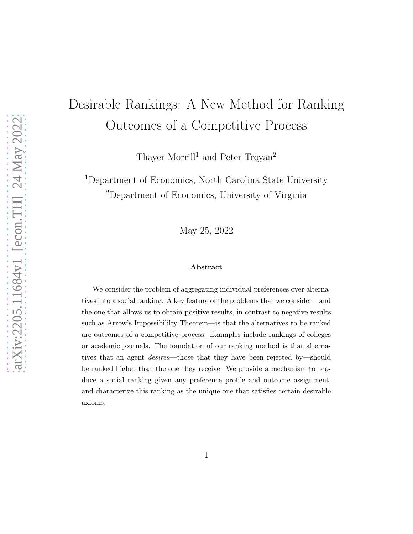# Desirable Rankings: A New Method for Ranking Outcomes of a Competitive Process

Thayer Morrill<sup>1</sup> and Peter Troyan<sup>2</sup>

<sup>1</sup>Department of Economics, North Carolina State University <sup>2</sup>Department of Economics, University of Virginia

May 25, 2022

#### Abstract

We consider the problem of aggregating individual preferences over alternatives into a social ranking. A key feature of the problems that we consider—and the one that allows us to obtain positive results, in contrast to negative results such as Arrow's Impossibililty Theorem—is that the alternatives to be ranked are outcomes of a competitive process. Examples include rankings of colleges or academic journals. The foundation of our ranking method is that alternatives that an agent desires—those that they have been rejected by—should be ranked higher than the one they receive. We provide a mechanism to produce a social ranking given any preference profile and outcome assignment, and characterize this ranking as the unique one that satisfies certain desirable axioms.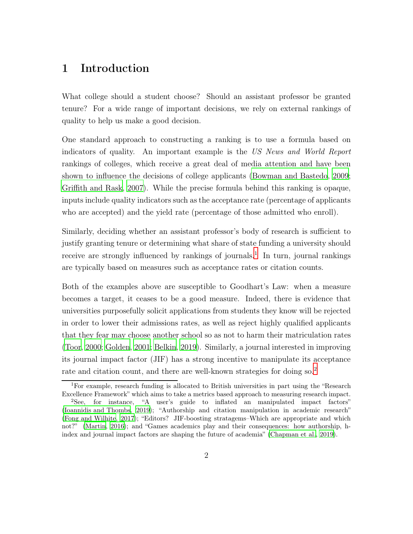### 1 Introduction

What college should a student choose? Should an assistant professor be granted tenure? For a wide range of important decisions, we rely on external rankings of quality to help us make a good decision.

One standard approach to constructing a ranking is to use a formula based on indicators of quality. An important example is the *US News and World Report* rankings of colleges, which receive a great deal of media attention and have been shown to influence the decisions of college applicants [\(Bowman and Bastedo, 2009;](#page-22-0) [Griffith and Rask](#page-23-0), [2007\)](#page-23-0). While the precise formula behind this ranking is opaque, inputs include quality indicators such as the acceptance rate (percentage of applicants who are accepted) and the yield rate (percentage of those admitted who enroll).

Similarly, deciding whether an assistant professor's body of research is sufficient to justify granting tenure or determining what share of state funding a university should receive are strongly influenced by rankings of journals.<sup>[1](#page-1-0)</sup> In turn, journal rankings are typically based on measures such as acceptance rates or citation counts.

Both of the examples above are susceptible to Goodhart's Law: when a measure becomes a target, it ceases to be a good measure. Indeed, there is evidence that universities purposefully solicit applications from students they know will be rejected in order to lower their admissions rates, as well as reject highly qualified applicants that they fear may choose another school so as not to harm their matriculation rates [\(Toor](#page-23-1), [2000](#page-23-1); [Golden, 2001;](#page-23-2) [Belkin](#page-22-1), [2019](#page-22-1)). Similarly, a journal interested in improving its journal impact factor (JIF) has a strong incentive to manipulate its acceptance rate and citation count, and there are well-known strategies for doing so.<sup>[2](#page-1-1)</sup>

<span id="page-1-0"></span><sup>1</sup>For example, research funding is allocated to British universities in part using the "Research Excellence Framework" which aims to take a metrics based approach to measuring research impact.

<span id="page-1-1"></span><sup>2</sup>See, for instance, "A user's guide to inflated an manipulated impact factors" [\(Ioannidis and Thombs](#page-23-3), [2019\)](#page-23-3); "Authorship and citation manipulation in academic research" [\(Fong and Wilhite, 2017\)](#page-23-4); "Editors? JIF-boosting stratagems–Which are appropriate and which not?" [\(Martin, 2016\)](#page-23-5); and "Games academics play and their consequences: how authorship, hindex and journal impact factors are shaping the future of academia" [\(Chapman et al.](#page-22-2), [2019\)](#page-22-2).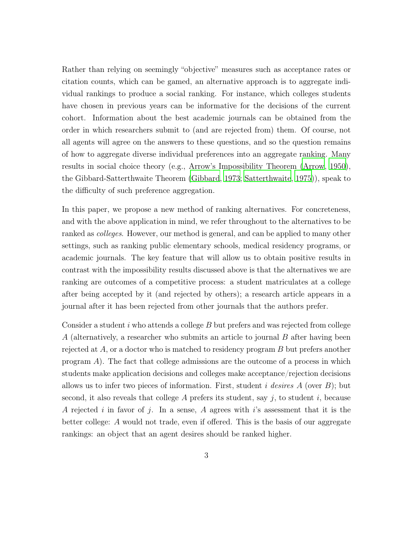Rather than relying on seemingly "objective" measures such as acceptance rates or citation counts, which can be gamed, an alternative approach is to aggregate individual rankings to produce a social ranking. For instance, which colleges students have chosen in previous years can be informative for the decisions of the current cohort. Information about the best academic journals can be obtained from the order in which researchers submit to (and are rejected from) them. Of course, not all agents will agree on the answers to these questions, and so the question remains of how to aggregate diverse individual preferences into an aggregate ranking. Many results in social choice theory (e.g., Arrow's Impossibility Theorem [\(Arrow](#page-22-3), [1950\)](#page-22-3), the Gibbard-Satterthwaite Theorem [\(Gibbard, 1973](#page-23-6); [Satterthwaite, 1975\)](#page-23-7)), speak to the difficulty of such preference aggregation.

In this paper, we propose a new method of ranking alternatives. For concreteness, and with the above application in mind, we refer throughout to the alternatives to be ranked as *colleges*. However, our method is general, and can be applied to many other settings, such as ranking public elementary schools, medical residency programs, or academic journals. The key feature that will allow us to obtain positive results in contrast with the impossibility results discussed above is that the alternatives we are ranking are outcomes of a competitive process: a student matriculates at a college after being accepted by it (and rejected by others); a research article appears in a journal after it has been rejected from other journals that the authors prefer.

Consider a student i who attends a college  $B$  but prefers and was rejected from college A (alternatively, a researcher who submits an article to journal  $B$  after having been rejected at  $A$ , or a doctor who is matched to residency program  $B$  but prefers another program A). The fact that college admissions are the outcome of a process in which students make application decisions and colleges make acceptance/rejection decisions allows us to infer two pieces of information. First, student i *desires* A (over B); but second, it also reveals that college A prefers its student, say  $j$ , to student i, because A rejected i in favor of j. In a sense, A agrees with i's assessment that it is the better college: A would not trade, even if offered. This is the basis of our aggregate rankings: an object that an agent desires should be ranked higher.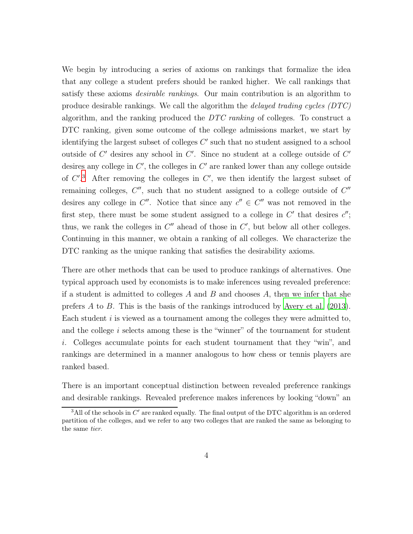We begin by introducing a series of axioms on rankings that formalize the idea that any college a student prefers should be ranked higher. We call rankings that satisfy these axioms *desirable rankings*. Our main contribution is an algorithm to produce desirable rankings. We call the algorithm the *delayed trading cycles (DTC)* algorithm, and the ranking produced the *DTC ranking* of colleges. To construct a DTC ranking, given some outcome of the college admissions market, we start by identifying the largest subset of colleges  $C'$  such that no student assigned to a school outside of  $C'$  desires any school in  $C'$ . Since no student at a college outside of  $C'$ desires any college in  $C'$ , the colleges in  $C'$  are ranked lower than any college outside of  $C^{\prime}$ <sup>[3](#page-3-0)</sup>. After removing the colleges in  $C^{\prime}$ , we then identify the largest subset of remaining colleges,  $C''$ , such that no student assigned to a college outside of  $C''$ desires any college in  $C''$ . Notice that since any  $c'' \in C''$  was not removed in the first step, there must be some student assigned to a college in  $C'$  that desires  $c''$ ; thus, we rank the colleges in  $C''$  ahead of those in  $C'$ , but below all other colleges. Continuing in this manner, we obtain a ranking of all colleges. We characterize the DTC ranking as the unique ranking that satisfies the desirability axioms.

There are other methods that can be used to produce rankings of alternatives. One typical approach used by economists is to make inferences using revealed preference: if a student is admitted to colleges  $A$  and  $B$  and chooses  $A$ , then we infer that she prefers A to B. This is the basis of the rankings introduced by [Avery et al. \(2013\)](#page-22-4). Each student  $i$  is viewed as a tournament among the colleges they were admitted to, and the college i selects among these is the "winner" of the tournament for student i. Colleges accumulate points for each student tournament that they "win", and rankings are determined in a manner analogous to how chess or tennis players are ranked based.

There is an important conceptual distinction between revealed preference rankings and desirable rankings. Revealed preference makes inferences by looking "down" an

<span id="page-3-0"></span> $3$ All of the schools in  $C'$  are ranked equally. The final output of the DTC algorithm is an ordered partition of the colleges, and we refer to any two colleges that are ranked the same as belonging to the same tier.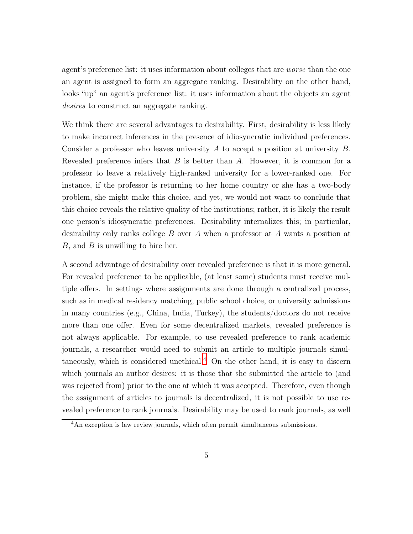agent's preference list: it uses information about colleges that are *worse* than the one an agent is assigned to form an aggregate ranking. Desirability on the other hand, looks "up" an agent's preference list: it uses information about the objects an agent *desires* to construct an aggregate ranking.

We think there are several advantages to desirability. First, desirability is less likely to make incorrect inferences in the presence of idiosyncratic individual preferences. Consider a professor who leaves university A to accept a position at university B. Revealed preference infers that  $B$  is better than  $A$ . However, it is common for a professor to leave a relatively high-ranked university for a lower-ranked one. For instance, if the professor is returning to her home country or she has a two-body problem, she might make this choice, and yet, we would not want to conclude that this choice reveals the relative quality of the institutions; rather, it is likely the result one person's idiosyncratic preferences. Desirability internalizes this; in particular, desirability only ranks college B over A when a professor at A wants a position at  $B$ , and  $B$  is unwilling to hire her.

A second advantage of desirability over revealed preference is that it is more general. For revealed preference to be applicable, (at least some) students must receive multiple offers. In settings where assignments are done through a centralized process, such as in medical residency matching, public school choice, or university admissions in many countries (e.g., China, India, Turkey), the students/doctors do not receive more than one offer. Even for some decentralized markets, revealed preference is not always applicable. For example, to use revealed preference to rank academic journals, a researcher would need to submit an article to multiple journals simul-taneously, which is considered unethical.<sup>[4](#page-4-0)</sup> On the other hand, it is easy to discern which journals an author desires: it is those that she submitted the article to (and was rejected from) prior to the one at which it was accepted. Therefore, even though the assignment of articles to journals is decentralized, it is not possible to use revealed preference to rank journals. Desirability may be used to rank journals, as well

<span id="page-4-0"></span><sup>&</sup>lt;sup>4</sup>An exception is law review journals, which often permit simultaneous submissions.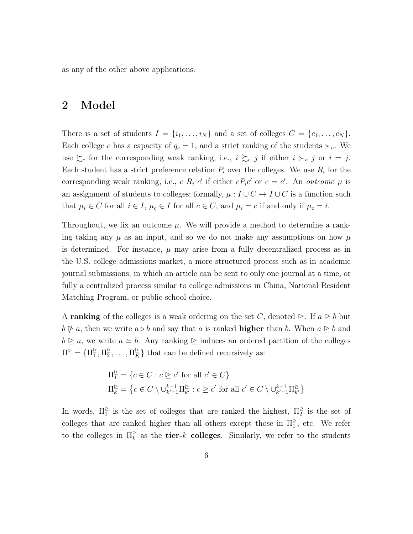as any of the other above applications.

#### 2 Model

There is a set of students  $I = \{i_1, \ldots, i_N\}$  and a set of colleges  $C = \{c_1, \ldots, c_N\}$ . Each college c has a capacity of  $q_c = 1$ , and a strict ranking of the students  $\succ_c$ . We use  $\succsim_c$  for the corresponding weak ranking, i.e.,  $i \succsim_c j$  if either  $i \succ_c j$  or  $i = j$ . Each student has a strict preference relation  $P_i$  over the colleges. We use  $R_i$  for the corresponding weak ranking, i.e., c  $R_i$  c' if either  $cP_i c'$  or  $c = c'$ . An *outcome*  $\mu$  is an assignment of students to colleges; formally,  $\mu : I \cup C \rightarrow I \cup C$  is a function such that  $\mu_i \in C$  for all  $i \in I$ ,  $\mu_c \in I$  for all  $c \in C$ , and  $\mu_i = c$  if and only if  $\mu_c = i$ .

Throughout, we fix an outcome  $\mu$ . We will provide a method to determine a ranking taking any  $\mu$  as an input, and so we do not make any assumptions on how  $\mu$ is determined. For instance,  $\mu$  may arise from a fully decentralized process as in the U.S. college admissions market, a more structured process such as in academic journal submissions, in which an article can be sent to only one journal at a time, or fully a centralized process similar to college admissions in China, National Resident Matching Program, or public school choice.

A ranking of the colleges is a weak ordering on the set C, denoted  $\geq$ . If  $a \geq b$  but  $b \not\subseteq a$ , then we write  $a \triangleright b$  and say that a is ranked **higher** than b. When  $a \triangleright b$  and  $b \ge a$ , we write  $a \simeq b$ . Any ranking  $\ge$  induces an ordered partition of the colleges  $\Pi^{\geq} = {\Pi^{\geq}_1, \Pi^{\geq}_2, \ldots, \Pi^{\geq}_K}$  that can be defined recursively as:

$$
\Pi_1^{\geq} = \{c \in C : c \geq c' \text{ for all } c' \in C\}
$$
  

$$
\Pi_k^{\geq} = \{c \in C \setminus \cup_{k'=1}^{k-1} \Pi_{k'}^{\geq} : c \geq c' \text{ for all } c' \in C \setminus \cup_{k'=1}^{k-1} \Pi_{k'}^{\geq} \}
$$

In words,  $\Pi_1^{\geq}$  is the set of colleges that are ranked the highest,  $\Pi_2^{\geq}$  is the set of colleges that are ranked higher than all others except those in  $\Pi_1^{\ge}$ , etc. We refer to the colleges in  $\Pi_{k}^{\geq}$  $\frac{\varepsilon}{k}$  as the **tier-**k **colleges**. Similarly, we refer to the students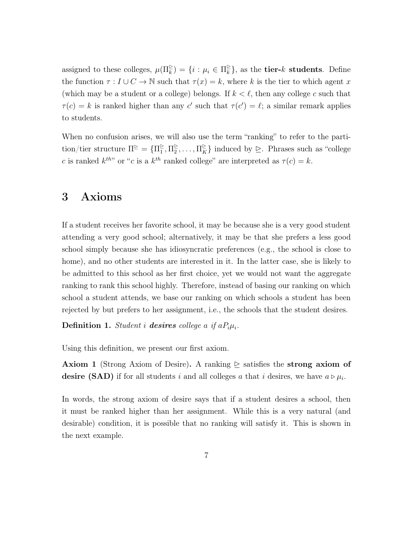assigned to these colleges,  $\mu(\Pi_k^{\triangleright}) = \{i : \mu_i \in \Pi_k^{\triangleright}$  $\frac{1}{k}$ , as the **tier-** $k$  **students**. Define the function  $\tau : I \cup C \to \mathbb{N}$  such that  $\tau(x) = k$ , where k is the tier to which agent x (which may be a student or a college) belongs. If  $k < \ell$ , then any college c such that  $\tau(c) = k$  is ranked higher than any c' such that  $\tau(c') = \ell$ ; a similar remark applies to students.

When no confusion arises, we will also use the term "ranking" to refer to the partition/tier structure  $\Pi^{\geq} = {\Pi^{\geq}_1, \Pi^{\geq}_2, \ldots, \Pi^{\geq}_K}$  induced by  $\geq$ . Phrases such as "college c is ranked  $k^{th}$ " or "c is a  $k^{th}$  ranked college" are interpreted as  $\tau(c) = k$ .

#### 3 Axioms

If a student receives her favorite school, it may be because she is a very good student attending a very good school; alternatively, it may be that she prefers a less good school simply because she has idiosyncratic preferences (e.g., the school is close to home), and no other students are interested in it. In the latter case, she is likely to be admitted to this school as her first choice, yet we would not want the aggregate ranking to rank this school highly. Therefore, instead of basing our ranking on which school a student attends, we base our ranking on which schools a student has been rejected by but prefers to her assignment, i.e., the schools that the student desires.

Definition 1. *Student i* desires college a if  $aP_i\mu_i$ .

Using this definition, we present our first axiom.

**Axiom 1** (Strong Axiom of Desire). A ranking  $\triangleright$  satisfies the strong axiom of desire (SAD) if for all students i and all colleges a that i desires, we have  $a \triangleright \mu_i$ .

In words, the strong axiom of desire says that if a student desires a school, then it must be ranked higher than her assignment. While this is a very natural (and desirable) condition, it is possible that no ranking will satisfy it. This is shown in the next example.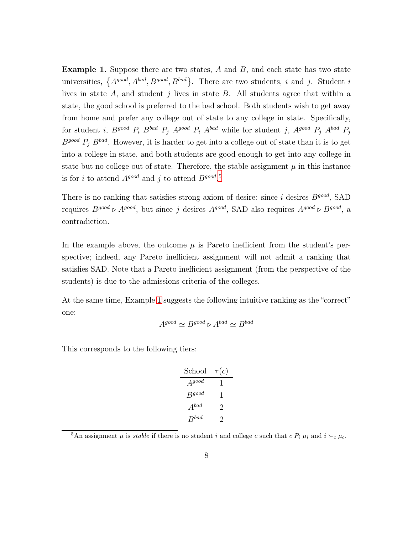<span id="page-7-1"></span>**Example 1.** Suppose there are two states,  $A$  and  $B$ , and each state has two state universities,  $\{A^{good}, A^{bad}, B^{good}, B^{bad}\}$ . There are two students, i and j. Student i lives in state  $A$ , and student  $j$  lives in state  $B$ . All students agree that within a state, the good school is preferred to the bad school. Both students wish to get away from home and prefer any college out of state to any college in state. Specifically, for student *i*,  $B^{good} P_i B^{bad} P_j A^{good} P_i A^{bad}$  while for student *j*,  $A^{good} P_j A^{bad} P_j$  $B^{good} P_i B^{bad}$ . However, it is harder to get into a college out of state than it is to get into a college in state, and both students are good enough to get into any college in state but no college out of state. Therefore, the stable assignment  $\mu$  in this instance is for i to attend  $A^{good}$  and j to attend  $B^{good}$ .<sup>[5](#page-7-0)</sup>

There is no ranking that satisfies strong axiom of desire: since  $i$  desires  $B^{good}$ , SAD requires  $B^{good} \triangleright A^{good}$ , but since j desires  $A^{good}$ , SAD also requires  $A^{good} \triangleright B^{good}$ , a contradiction.

In the example above, the outcome  $\mu$  is Pareto inefficient from the student's perspective; indeed, any Pareto inefficient assignment will not admit a ranking that satisfies SAD. Note that a Pareto inefficient assignment (from the perspective of the students) is due to the admissions criteria of the colleges.

At the same time, Example [1](#page-7-1) suggests the following intuitive ranking as the "correct" one:

$$
A^{good} \simeq B^{good} \triangleright A^{bad} \simeq B^{bad}
$$

This corresponds to the following tiers:

| School     | $\tau(c)$ |
|------------|-----------|
| $A^{good}$ | 1         |
| $B^{good}$ | 1         |
| $A^{bad}$  | 2         |
| $B^{bad}$  | 2         |

<span id="page-7-0"></span><sup>&</sup>lt;sup>5</sup>An assignment  $\mu$  is *stable* if there is no student i and college c such that c  $P_i \mu_i$  and  $i \succ_c \mu_c$ .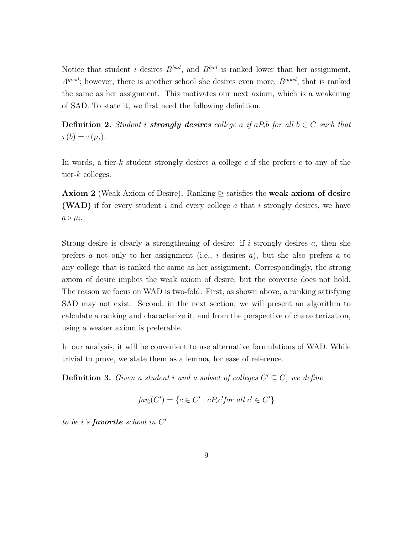Notice that student i desires  $B^{bad}$ , and  $B^{bad}$  is ranked lower than her assignment,  $A^{good}$ ; however, there is another school she desires even more,  $B^{good}$ , that is ranked the same as her assignment. This motivates our next axiom, which is a weakening of SAD. To state it, we first need the following definition.

**Definition 2.** *Student i strongly desires college* a *if*  $aP_i$  *b for all*  $b \in C$  *such that*  $\tau(b) = \tau(\mu_i).$ 

In words, a tier-k student strongly desires a college c if she prefers c to any of the tier- $k$  colleges.

**Axiom 2** (Weak Axiom of Desire). Ranking  $\triangleright$  satisfies the weak axiom of desire (WAD) if for every student i and every college a that i strongly desires, we have  $a \triangleright \mu_i$ .

Strong desire is clearly a strengthening of desire: if i strongly desires  $a$ , then she prefers a not only to her assignment (i.e., i desires a), but she also prefers a to any college that is ranked the same as her assignment. Correspondingly, the strong axiom of desire implies the weak axiom of desire, but the converse does not hold. The reason we focus on WAD is two-fold. First, as shown above, a ranking satisfying SAD may not exist. Second, in the next section, we will present an algorithm to calculate a ranking and characterize it, and from the perspective of characterization, using a weaker axiom is preferable.

In our analysis, it will be convenient to use alternative formulations of WAD. While trivial to prove, we state them as a lemma, for ease of reference.

**Definition 3.** Given a student i and a subset of colleges  $C' \subseteq C$ , we define

$$
fav_i(C') = \{c \in C' : cP_i c' \text{ for all } c' \in C'\}
$$

*to be* i*'s* favorite *school in* C ′ *.*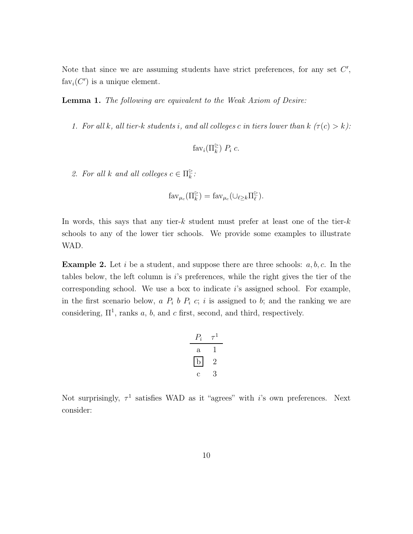Note that since we are assuming students have strict preferences, for any set  $C'$ ,  $fav_i(C')$  is a unique element.

Lemma 1. *The following are equivalent to the Weak Axiom of Desire:*

*1. For all k, all tier-k students i, and all colleges c in tiers lower than k*  $(\tau(c) > k)$ *:* 

$$
fav_i(\Pi_k^{\triangleright}) P_i c.
$$

2. For all k and all colleges  $c \in \Pi_k^{\triangleright}$ k *:*

$$
\mathrm{far}_{\mu_c}(\Pi_k^{\triangleright}) = \mathrm{far}_{\mu_c}(\cup_{\ell \geq k} \Pi_{\ell}^{\triangleright}).
$$

In words, this says that any tier- $k$  student must prefer at least one of the tier- $k$ schools to any of the lower tier schools. We provide some examples to illustrate WAD.

**Example 2.** Let i be a student, and suppose there are three schools:  $a, b, c$ . In the tables below, the left column is i's preferences, while the right gives the tier of the corresponding school. We use a box to indicate  $i$ 's assigned school. For example, in the first scenario below,  $a P_i b P_i c; i$  is assigned to b; and the ranking we are considering,  $\Pi^1$ , ranks a, b, and c first, second, and third, respectively.

$$
\begin{array}{ccc}\nP_i & \tau^1 \\
\hline\na & 1 \\
b & 2 \\
c & 3\n\end{array}
$$

Not surprisingly,  $\tau^1$  satisfies WAD as it "agrees" with *i*'s own preferences. Next consider: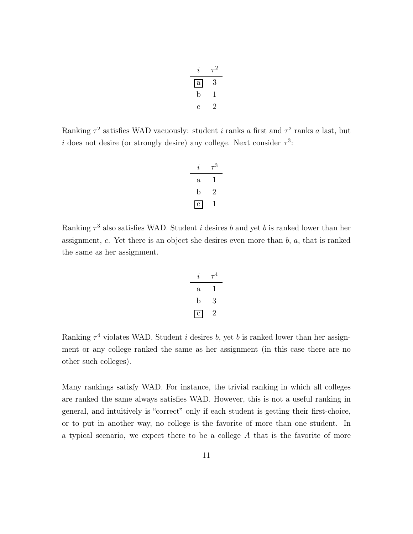| i.           | $\tau^2$ |
|--------------|----------|
| $\mathbf{a}$ | З        |
| b            | 1        |
| С            | '2       |

Ranking  $\tau^2$  satisfies WAD vacuously: student *i* ranks *a* first and  $\tau^2$  ranks *a* last, but i does not desire (or strongly desire) any college. Next consider  $\tau^3$ :

| i            | $\tau^3$ |
|--------------|----------|
| $\mathbf{a}$ | T        |
| b            | $\cdot$  |
| $\mathbf{c}$ | 1        |

Ranking  $\tau^3$  also satisfies WAD. Student *i* desires *b* and yet *b* is ranked lower than her assignment,  $c$ . Yet there is an object she desires even more than  $b$ ,  $a$ , that is ranked the same as her assignment.

$$
\begin{array}{ccc}\ni&\tau^4\\\hline\na&1\\b&3\\c&2\n\end{array}
$$

Ranking  $\tau^4$  violates WAD. Student *i* desires *b*, yet *b* is ranked lower than her assignment or any college ranked the same as her assignment (in this case there are no other such colleges).

Many rankings satisfy WAD. For instance, the trivial ranking in which all colleges are ranked the same always satisfies WAD. However, this is not a useful ranking in general, and intuitively is "correct" only if each student is getting their first-choice, or to put in another way, no college is the favorite of more than one student. In a typical scenario, we expect there to be a college A that is the favorite of more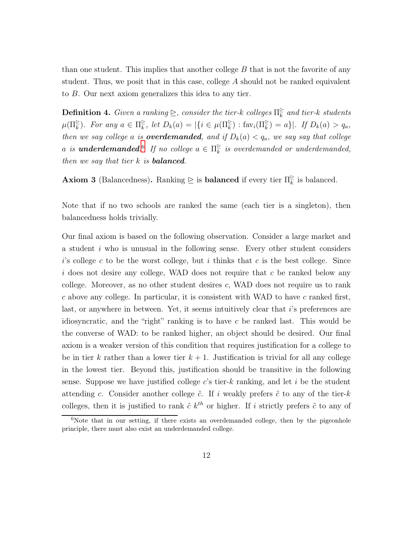than one student. This implies that another college  $B$  that is not the favorite of any student. Thus, we posit that in this case, college  $A$  should not be ranked equivalent to B. Our next axiom generalizes this idea to any tier.

**Definition 4.** *Given a ranking*  $\geq$ , *consider the tier-k colleges*  $\Pi_k^{\geq}$ k *and tier-*k *students*  $\mu(\Pi_{k}^{\geq})$ *. For any*  $a \in \Pi_{k}^{\geq}$  $\sum_{k}^{\infty}$ , let  $D_k(a) = |\{i \in \mu(\Pi_k^{\ge}) : \text{fav}_i(\Pi_k^{\ge}) = a\}|$ . If  $D_k(a) > q_a$ , *then we say college a is overdemanded, and if*  $D_k(a) < q_a$ *, we say say that college a is* **underdemanded**.<sup>[6](#page-11-0)</sup> If no college  $a \in \Pi_k^{\triangleright}$  $\frac{\varepsilon}{k}$  is overdemanded or underdemanded, *then we say that tier* k *is* balanced*.*

**Axiom 3** (Balancedness). Ranking  $\geq$  is **balanced** if every tier  $\Pi_{\vec{k}}^{\geq}$  $\frac{\varepsilon}{k}$  is balanced.

Note that if no two schools are ranked the same (each tier is a singleton), then balancedness holds trivially.

Our final axiom is based on the following observation. Consider a large market and a student i who is unusual in the following sense. Every other student considers  $i$ 's college c to be the worst college, but i thinks that c is the best college. Since i does not desire any college, WAD does not require that  $c$  be ranked below any college. Moreover, as no other student desires  $c$ , WAD does not require us to rank c above any college. In particular, it is consistent with WAD to have c ranked first, last, or anywhere in between. Yet, it seems intuitively clear that i's preferences are idiosyncratic, and the "right" ranking is to have c be ranked last. This would be the converse of WAD: to be ranked higher, an object should be desired. Our final axiom is a weaker version of this condition that requires justification for a college to be in tier k rather than a lower tier  $k + 1$ . Justification is trivial for all any college in the lowest tier. Beyond this, justification should be transitive in the following sense. Suppose we have justified college  $c$ 's tier-k ranking, and let i be the student attending c. Consider another college  $\tilde{c}$ . If i weakly prefers  $\tilde{c}$  to any of the tier-k colleges, then it is justified to rank  $\tilde{c} k^{th}$  or higher. If i strictly prefers  $\tilde{c}$  to any of

<span id="page-11-0"></span> $6$ Note that in our setting, if there exists an overdemanded college, then by the pigeonhole principle, there must also exist an underdemanded college.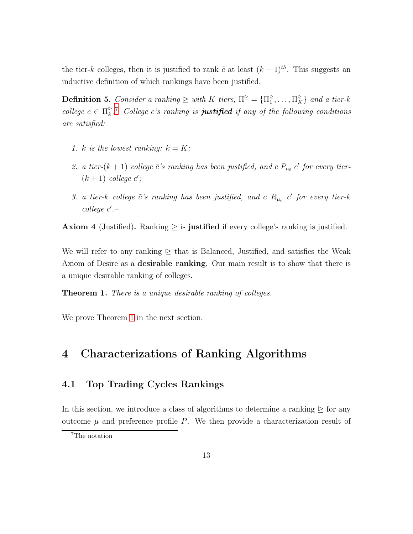the tier-k colleges, then it is justified to rank  $\tilde{c}$  at least  $(k-1)^{th}$ . This suggests an inductive definition of which rankings have been justified.

**Definition 5.** *Consider a ranking*  $\geq$  *with* K *tiers*,  $\Pi^{\geq} = {\Pi^{\geq}_1, \dots, \Pi^{\geq}_K}$  *and a tier-k college*  $c \in \Pi_k^{\geq}$  $\frac{1}{k}$ <sup>[7](#page-12-0)</sup> *College c's ranking is justified if any of the following conditions are satisfied:*

- *1. k is the lowest ranking:*  $k = K$ ;
- 2. a tier- $(k + 1)$  college  $\tilde{c}'s$  ranking has been justified, and c  $P_{\mu\tilde{c}}$  c' for every tier- $(k+1)$  *college*  $c'$ ;
- 3. a tier-k college  $\tilde{c}'s$  ranking has been justified, and c  $R_{\mu_{\tilde{c}}}$  c' for every tier-k *college* c ′ *.–*

**Axiom 4** (Justified). Ranking  $\triangleright$  is justified if every college's ranking is justified.

We will refer to any ranking  $\geq$  that is Balanced, Justified, and satisfies the Weak Axiom of Desire as a desirable ranking. Our main result is to show that there is a unique desirable ranking of colleges.

<span id="page-12-1"></span>Theorem 1. *There is a unique desirable ranking of colleges.*

We prove Theorem [1](#page-12-1) in the next section.

## 4 Characterizations of Ranking Algorithms

#### 4.1 Top Trading Cycles Rankings

In this section, we introduce a class of algorithms to determine a ranking  $\geq$  for any outcome  $\mu$  and preference profile P. We then provide a characterization result of

<span id="page-12-0"></span><sup>7</sup>The notation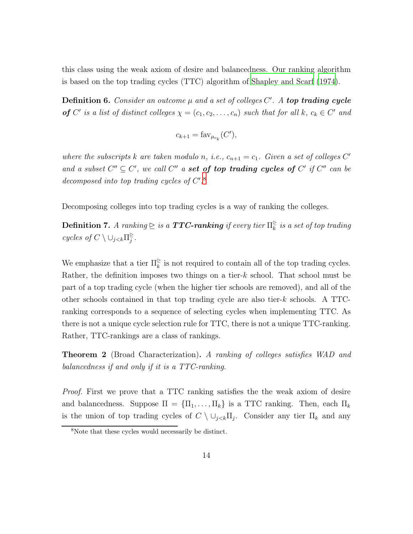this class using the weak axiom of desire and balancedness. Our ranking algorithm is based on the top trading cycles (TTC) algorithm of Shapley and Scarf (1974).

Definition 6. Consider an outcome  $\mu$  and a set of colleges  $C'$ . A top trading cycle of C' is a list of distinct colleges  $\chi = (c_1, c_2, \ldots, c_n)$  such that for all k,  $c_k \in C'$  and

$$
c_{k+1} = \text{far}_{\mu_{c_k}}(C'),
$$

where the subscripts k are taken modulo n, i.e.,  $c_{n+1} = c_1$ . Given a set of colleges C' and a subset  $C'' \subseteq C'$ , we call  $C''$  a set of top trading cycles of  $C'$  if  $C''$  can be decomposed into top trading cycles of  $C'.$ <sup>[8](#page-13-0)</sup>

Decomposing colleges into top trading cycles is a way of ranking the colleges.

**Definition 7.** A ranking  $\geq$  is a **TTC-ranking** if every tier  $\Pi_{\overline{k}}^{\geq}$  $\frac{\varepsilon}{k}$  *is a set of top trading cycles of*  $C \setminus \bigcup_{j < k} \prod_{j}^{\geq}$ j *.*

We emphasize that a tier  $\Pi_{\bar{k}}^{\geq}$  $\frac{\epsilon}{k}$  is not required to contain all of the top trading cycles. Rather, the definition imposes two things on a tier-k school. That school must be part of a top trading cycle (when the higher tier schools are removed), and all of the other schools contained in that top trading cycle are also tier-k schools. A TTCranking corresponds to a sequence of selecting cycles when implementing TTC. As there is not a unique cycle selection rule for TTC, there is not a unique TTC-ranking. Rather, TTC-rankings are a class of rankings.

<span id="page-13-1"></span>Theorem 2 (Broad Characterization). *A ranking of colleges satisfies WAD and balancedness if and only if it is a TTC-ranking.*

*Proof.* First we prove that a TTC ranking satisfies the the weak axiom of desire and balancedness. Suppose  $\Pi = {\Pi_1, ..., \Pi_k}$  is a TTC ranking. Then, each  $\Pi_k$ is the union of top trading cycles of  $C \setminus \cup_{j < k} \Pi_j$ . Consider any tier  $\Pi_k$  and any

<span id="page-13-0"></span><sup>8</sup>Note that these cycles would necessarily be distinct.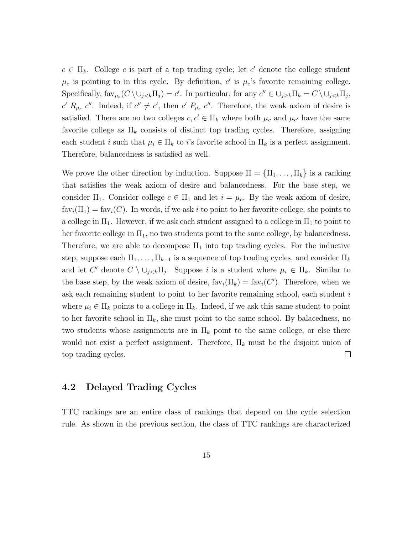$c \in \Pi_k$ . College c is part of a top trading cycle; let c' denote the college student  $\mu_c$  is pointing to in this cycle. By definition, c' is  $\mu_c$ 's favorite remaining college. Specifically,  $\text{far}_{\mu_c}(C \setminus \cup_{j < k} \Pi_j) = c'$ . In particular, for any  $c'' \in \cup_{j \geq k} \Pi_k = C \setminus \cup_{j < k} \Pi_j$ , c'  $R_{\mu_c}$  c''. Indeed, if  $c'' \neq c'$ , then c'  $P_{\mu_c}$  c''. Therefore, the weak axiom of desire is satisfied. There are no two colleges  $c, c' \in \Pi_k$  where both  $\mu_c$  and  $\mu_{c'}$  have the same favorite college as  $\Pi_k$  consists of distinct top trading cycles. Therefore, assigning each student i such that  $\mu_i \in \Pi_k$  to i's favorite school in  $\Pi_k$  is a perfect assignment. Therefore, balancedness is satisfied as well.

We prove the other direction by induction. Suppose  $\Pi = {\Pi_1, \ldots, \Pi_k}$  is a ranking that satisfies the weak axiom of desire and balancedness. For the base step, we consider  $\Pi_1$ . Consider college  $c \in \Pi_1$  and let  $i = \mu_c$ . By the weak axiom of desire,  $fav_i(\Pi_1) = fav_i(C)$ . In words, if we ask i to point to her favorite college, she points to a college in  $\Pi_1$ . However, if we ask each student assigned to a college in  $\Pi_1$  to point to her favorite college in  $\Pi_1$ , no two students point to the same college, by balancedness. Therefore, we are able to decompose  $\Pi_1$  into top trading cycles. For the inductive step, suppose each  $\Pi_1, \ldots, \Pi_{k-1}$  is a sequence of top trading cycles, and consider  $\Pi_k$ and let C' denote  $C \setminus \cup_{j \leq k} \Pi_j$ . Suppose i is a student where  $\mu_i \in \Pi_k$ . Similar to the base step, by the weak axiom of desire,  $\text{fav}_i(\Pi_k) = \text{fav}_i(C')$ . Therefore, when we ask each remaining student to point to her favorite remaining school, each student i where  $\mu_i \in \Pi_k$  points to a college in  $\Pi_k$ . Indeed, if we ask this same student to point to her favorite school in  $\Pi_k$ , she must point to the same school. By balacedness, no two students whose assignments are in  $\Pi_k$  point to the same college, or else there would not exist a perfect assignment. Therefore,  $\Pi_k$  must be the disjoint union of top trading cycles.  $\Box$ 

#### 4.2 Delayed Trading Cycles

TTC rankings are an entire class of rankings that depend on the cycle selection rule. As shown in the previous section, the class of TTC rankings are characterized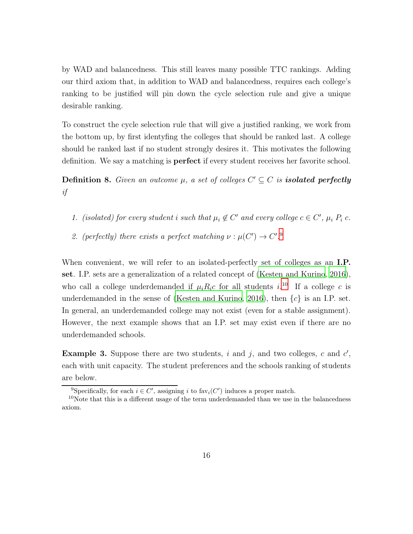by WAD and balancedness. This still leaves many possible TTC rankings. Adding our third axiom that, in addition to WAD and balancedness, requires each college's ranking to be justified will pin down the cycle selection rule and give a unique desirable ranking.

To construct the cycle selection rule that will give a justified ranking, we work from the bottom up, by first identyfing the colleges that should be ranked last. A college should be ranked last if no student strongly desires it. This motivates the following definition. We say a matching is perfect if every student receives her favorite school.

**Definition 8.** *Given an outcome*  $\mu$ , a set of colleges  $C' \subseteq C$  is **isolated perfectly** *if*

- *1.* (isolated) for every student i such that  $\mu_i \notin C'$  and every college  $c \in C'$ ,  $\mu_i P_i c$ .
- 2. (perfectly) there exists a perfect matching  $\nu : \mu(C') \to C'.^9$  $\nu : \mu(C') \to C'.^9$

When convenient, we will refer to an isolated-perfectly set of colleges as an I.P. set. I.P. sets are a generalization of a related concept of [\(Kesten and Kurino](#page-23-8), [2016\)](#page-23-8), who call a college underdemanded if  $\mu_i R_i c$  for all students  $i^{10}$  $i^{10}$  $i^{10}$  If a college c is underdemanded in the sense of [\(Kesten and Kurino](#page-23-8), [2016](#page-23-8)), then  $\{c\}$  is an I.P. set. In general, an underdemanded college may not exist (even for a stable assignment). However, the next example shows that an I.P. set may exist even if there are no underdemanded schools.

**Example 3.** Suppose there are two students, i and j, and two colleges, c and  $c'$ , each with unit capacity. The student preferences and the schools ranking of students are below.

<span id="page-15-0"></span><sup>&</sup>lt;sup>9</sup>Specifically, for each  $i \in C'$ , assigning i to fav<sub>i</sub> $(C')$  induces a proper match.

<span id="page-15-1"></span> $10$ Note that this is a different usage of the term underdemanded than we use in the balancedness axiom.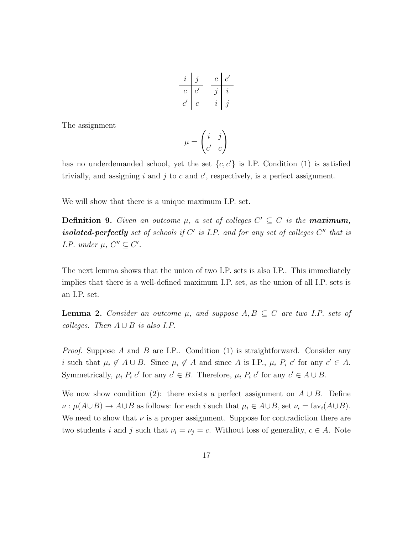$$
\begin{array}{c|cc}\ni & j & c & c' \\
\hline c & c' & j & i \\
c' & c & i & j\n\end{array}
$$

The assignment

$$
\mu = \begin{pmatrix} i & j \\ c' & c \end{pmatrix}
$$

has no underdemanded school, yet the set  $\{c, c'\}$  is I.P. Condition (1) is satisfied trivially, and assigning  $i$  and  $j$  to  $c$  and  $c'$ , respectively, is a perfect assignment.

We will show that there is a unique maximum I.P. set.

**Definition 9.** Given an outcome  $\mu$ , a set of colleges  $C' \subseteq C$  is the **maximum**, isolated-perfectly set of schools if  $C'$  is I.P. and for any set of colleges  $C''$  that is *I.P.* under  $\mu$ ,  $C'' \subseteq C'$ .

The next lemma shows that the union of two I.P. sets is also I.P.. This immediately implies that there is a well-defined maximum I.P. set, as the union of all I.P. sets is an I.P. set.

**Lemma 2.** Consider an outcome  $\mu$ , and suppose  $A, B \subseteq C$  are two I.P. sets of *colleges.* Then  $A \cup B$  *is also I.P.* 

*Proof.* Suppose A and B are I.P.. Condition (1) is straightforward. Consider any i such that  $\mu_i \notin A \cup B$ . Since  $\mu_i \notin A$  and since A is I.P.,  $\mu_i P_i$  c' for any  $c' \in A$ . Symmetrically,  $\mu_i P_i c'$  for any  $c' \in B$ . Therefore,  $\mu_i P_i c'$  for any  $c' \in A \cup B$ .

We now show condition (2): there exists a perfect assignment on  $A \cup B$ . Define  $\nu : \mu(A\cup B) \to A\cup B$  as follows: for each i such that  $\mu_i \in A\cup B$ , set  $\nu_i = \text{fav}_i(A\cup B)$ . We need to show that  $\nu$  is a proper assignment. Suppose for contradiction there are two students i and j such that  $\nu_i = \nu_j = c$ . Without loss of generality,  $c \in A$ . Note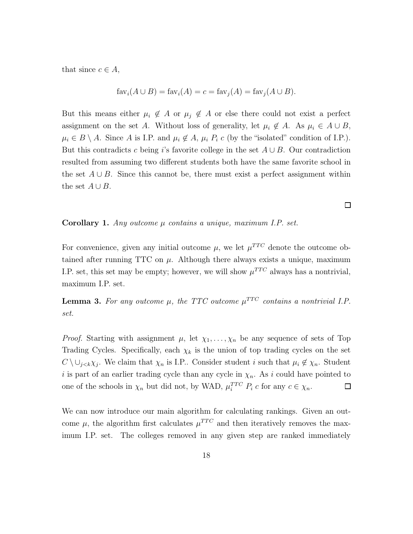that since  $c \in A$ ,

$$
favi(A \cup B) = favi(A) = c = favj(A) = favj(A \cup B).
$$

But this means either  $\mu_i \notin A$  or  $\mu_j \notin A$  or else there could not exist a perfect assignment on the set A. Without loss of generality, let  $\mu_i \notin A$ . As  $\mu_i \in A \cup B$ ,  $\mu_i \in B \setminus A$ . Since A is I.P. and  $\mu_i \notin A$ ,  $\mu_i P_i$  c (by the "isolated" condition of I.P.). But this contradicts c being is favorite college in the set  $A \cup B$ . Our contradiction resulted from assuming two different students both have the same favorite school in the set  $A \cup B$ . Since this cannot be, there must exist a perfect assignment within the set  $A \cup B$ .

Corollary 1. *Any outcome* µ *contains a unique, maximum I.P. set.*

For convenience, given any initial outcome  $\mu$ , we let  $\mu^{TTC}$  denote the outcome obtained after running TTC on  $\mu$ . Although there always exists a unique, maximum I.P. set, this set may be empty; however, we will show  $\mu^{TTC}$  always has a nontrivial, maximum I.P. set.

**Lemma 3.** For any outcome  $\mu$ , the TTC outcome  $\mu^{TTC}$  contains a nontrivial I.P. *set.*

*Proof.* Starting with assignment  $\mu$ , let  $\chi_1, \ldots, \chi_n$  be any sequence of sets of Top Trading Cycles. Specifically, each  $\chi_k$  is the union of top trading cycles on the set  $C \setminus \bigcup_{j < k} \chi_j$ . We claim that  $\chi_n$  is I.P.. Consider student i such that  $\mu_i \notin \chi_n$ . Student i is part of an earlier trading cycle than any cycle in  $\chi_n$ . As i could have pointed to one of the schools in  $\chi_n$  but did not, by WAD,  $\mu_i^{TTC} P_i c$  for any  $c \in \chi_n$ .  $\Box$ 

We can now introduce our main algorithm for calculating rankings. Given an outcome  $\mu$ , the algorithm first calculates  $\mu^{TTC}$  and then iteratively removes the maximum I.P. set. The colleges removed in any given step are ranked immediately

 $\Box$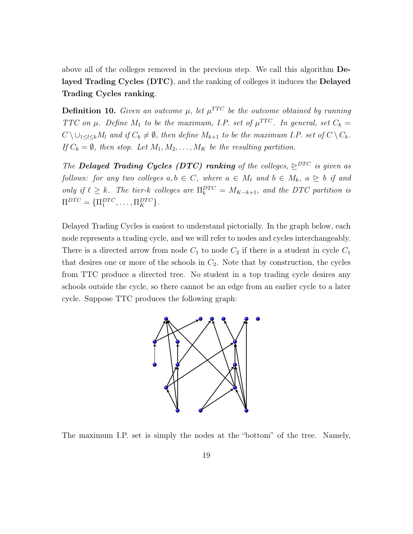above all of the colleges removed in the previous step. We call this algorithm Delayed Trading Cycles (DTC), and the ranking of colleges it induces the Delayed Trading Cycles ranking.

**Definition 10.** *Given an outcome*  $\mu$ , *let*  $\mu^{TTC}$  *be the outcome obtained by running TTC* on  $\mu$ *. Define*  $M_1$  *to be the maximum, I.P. set of*  $\mu^{TTC}$ *. In general, set*  $C_k =$  $C \setminus \bigcup_{1 \leq l \leq k} M_l$  and if  $C_k \neq \emptyset$ , then define  $M_{k+1}$  to be the maximum I.P. set of  $C \setminus C_k$ . *If*  $C_k = \emptyset$ *, then stop. Let*  $M_1, M_2, \ldots, M_K$  *be the resulting partition.* 

*The* Delayed Trading Cycles (DTC) ranking of the colleges,  $\sum^{DTC}$  is given as *follows: for any two colleges*  $a, b \in C$ *, where*  $a \in M_{\ell}$  and  $b \in M_{k}$ ,  $a \geq b$  *if and only if*  $\ell \geq k$ . The tier-k colleges are  $\Pi_k^{DTC} = M_{K-k+1}$ , and the DTC partition is  $\Pi^{DTC} = {\Pi_1^{DTC}, \ldots, \Pi_K^{DTC}}.$ 

Delayed Trading Cycles is easiest to understand pictorially. In the graph below, each node represents a trading cycle, and we will refer to nodes and cycles interchangeably. There is a directed arrow from node  $C_1$  to node  $C_2$  if there is a student in cycle  $C_1$ that desires one or more of the schools in  $C_2$ . Note that by construction, the cycles from TTC produce a directed tree. No student in a top trading cycle desires any schools outside the cycle, so there cannot be an edge from an earlier cycle to a later cycle. Suppose TTC produces the following graph:



The maximum I.P. set is simply the nodes at the "bottom" of the tree. Namely,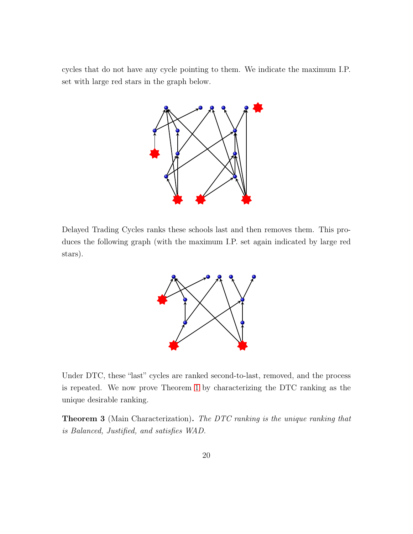cycles that do not have any cycle pointing to them. We indicate the maximum I.P. set with large red stars in the graph below.



Delayed Trading Cycles ranks these schools last and then removes them. This produces the following graph (with the maximum I.P. set again indicated by large red stars).



Under DTC, these "last" cycles are ranked second-to-last, removed, and the process is repeated. We now prove Theorem [1](#page-12-1) by characterizing the DTC ranking as the unique desirable ranking.

Theorem 3 (Main Characterization). *The DTC ranking is the unique ranking that is Balanced, Justified, and satisfies WAD.*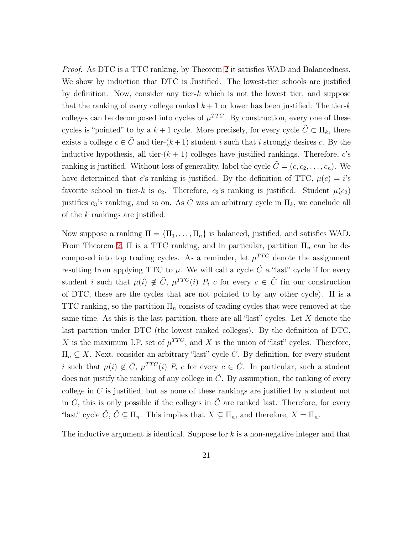*Proof.* As DTC is a TTC ranking, by Theorem [2](#page-13-1) it satisfies WAD and Balancedness. We show by induction that DTC is Justified. The lowest-tier schools are justified by definition. Now, consider any tier-k which is not the lowest tier, and suppose that the ranking of every college ranked  $k+1$  or lower has been justified. The tier-k colleges can be decomposed into cycles of  $\mu^{TTC}$ . By construction, every one of these cycles is "pointed" to by a  $k + 1$  cycle. More precisely, for every cycle  $\tilde{C} \subset \Pi_k$ , there exists a college  $c \in \tilde{C}$  and tier- $(k+1)$  student i such that i strongly desires c. By the inductive hypothesis, all tier- $(k + 1)$  colleges have justified rankings. Therefore, c's ranking is justified. Without loss of generality, label the cycle  $\tilde{C} = (c, c_2, \ldots, c_n)$ . We have determined that c's ranking is justified. By the definition of TTC,  $\mu(c) = i$ 's favorite school in tier-k is  $c_2$ . Therefore,  $c_2$ 's ranking is justified. Student  $\mu(c_2)$ justifies  $c_3$ 's ranking, and so on. As  $\tilde{C}$  was an arbitrary cycle in  $\Pi_k$ , we conclude all of the k rankings are justified.

Now suppose a ranking  $\Pi = {\Pi_1, \dots, \Pi_n}$  is balanced, justified, and satisfies WAD. From Theorem [2,](#page-13-1)  $\Pi$  is a TTC ranking, and in particular, partition  $\Pi_n$  can be decomposed into top trading cycles. As a reminder, let  $\mu^{TTC}$  denote the assignment resulting from applying TTC to  $\mu$ . We will call a cycle  $\tilde{C}$  a "last" cycle if for every student i such that  $\mu(i) \notin \tilde{C}$ ,  $\mu^{TTC}(i)$   $P_i$  c for every  $c \in \tilde{C}$  (in our construction of DTC, these are the cycles that are not pointed to by any other cycle). Π is a TTC ranking, so the partition  $\Pi_n$  consists of trading cycles that were removed at the same time. As this is the last partition, these are all "last" cycles. Let  $X$  denote the last partition under DTC (the lowest ranked colleges). By the definition of DTC, X is the maximum I.P. set of  $\mu^{TTC}$ , and X is the union of "last" cycles. Therefore,  $\Pi_n \subseteq X$ . Next, consider an arbitrary "last" cycle  $\tilde{C}$ . By definition, for every student i such that  $\mu(i) \notin \tilde{C}$ ,  $\mu^{TTC}(i)$   $P_i$  c for every  $c \in \tilde{C}$ . In particular, such a student does not justify the ranking of any college in  $\tilde{C}$ . By assumption, the ranking of every college in  $C$  is justified, but as none of these rankings are justified by a student not in C, this is only possible if the colleges in  $\tilde{C}$  are ranked last. Therefore, for every "last" cycle  $\tilde{C}$ ,  $\tilde{C} \subseteq \Pi_n$ . This implies that  $X \subseteq \Pi_n$ , and therefore,  $X = \Pi_n$ .

The inductive argument is identical. Suppose for  $k$  is a non-negative integer and that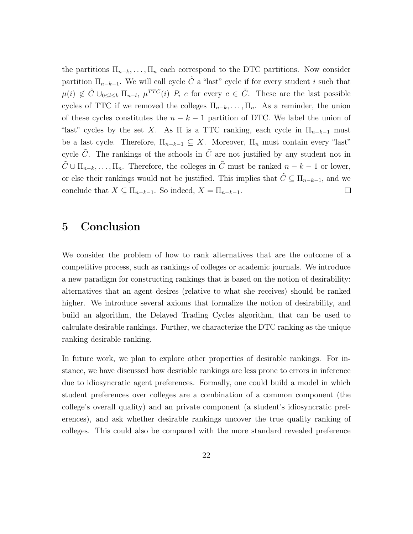the partitions  $\Pi_{n-k}, \ldots, \Pi_n$  each correspond to the DTC partitions. Now consider partition  $\Pi_{n-k-1}$ . We will call cycle  $\tilde{C}$  a "last" cycle if for every student i such that  $\mu(i) \notin \tilde{C} \cup_{0 \leq l \leq k} \Pi_{n-l}, \mu^{TTC}(i) \cap P_i$  c for every  $c \in \tilde{C}$ . These are the last possible cycles of TTC if we removed the colleges  $\Pi_{n-k}, \ldots, \Pi_n$ . As a reminder, the union of these cycles constitutes the  $n - k - 1$  partition of DTC. We label the union of "last" cycles by the set X. As  $\Pi$  is a TTC ranking, each cycle in  $\Pi_{n-k-1}$  must be a last cycle. Therefore,  $\Pi_{n-k-1} \subseteq X$ . Moreover,  $\Pi_n$  must contain every "last" cycle  $\tilde{C}$ . The rankings of the schools in  $\tilde{C}$  are not justified by any student not in  $\tilde{C} \cup \Pi_{n-k}, \ldots, \Pi_n$ . Therefore, the colleges in  $\tilde{C}$  must be ranked  $n-k-1$  or lower, or else their rankings would not be justified. This implies that  $\tilde{C} \subseteq \Pi_{n-k-1}$ , and we conclude that  $X \subseteq \Pi_{n-k-1}$ . So indeed,  $X = \Pi_{n-k-1}$ . □

#### 5 Conclusion

We consider the problem of how to rank alternatives that are the outcome of a competitive process, such as rankings of colleges or academic journals. We introduce a new paradigm for constructing rankings that is based on the notion of desirability: alternatives that an agent desires (relative to what she receives) should be ranked higher. We introduce several axioms that formalize the notion of desirability, and build an algorithm, the Delayed Trading Cycles algorithm, that can be used to calculate desirable rankings. Further, we characterize the DTC ranking as the unique ranking desirable ranking.

In future work, we plan to explore other properties of desirable rankings. For instance, we have discussed how desriable rankings are less prone to errors in inference due to idiosyncratic agent preferences. Formally, one could build a model in which student preferences over colleges are a combination of a common component (the college's overall quality) and an private component (a student's idiosyncratic preferences), and ask whether desirable rankings uncover the true quality ranking of colleges. This could also be compared with the more standard revealed preference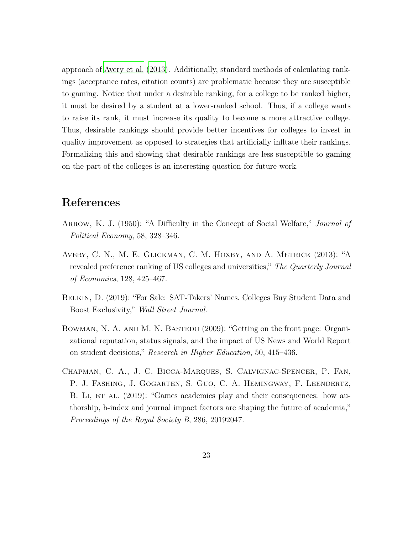approach of [Avery et al.](#page-22-4) [\(2013\)](#page-22-4). Additionally, standard methods of calculating rankings (acceptance rates, citation counts) are problematic because they are susceptible to gaming. Notice that under a desirable ranking, for a college to be ranked higher, it must be desired by a student at a lower-ranked school. Thus, if a college wants to raise its rank, it must increase its quality to become a more attractive college. Thus, desirable rankings should provide better incentives for colleges to invest in quality improvement as opposed to strategies that artificially infltate their rankings. Formalizing this and showing that desirable rankings are less susceptible to gaming on the part of the colleges is an interesting question for future work.

## References

- <span id="page-22-3"></span>Arrow, K. J. (1950): "A Difficulty in the Concept of Social Welfare," *Journal of Political Economy*, 58, 328–346.
- <span id="page-22-4"></span>Avery, C. N., M. E. Glickman, C. M. Hoxby, and A. Metrick (2013): "A revealed preference ranking of US colleges and universities," *The Quarterly Journal of Economics*, 128, 425–467.
- <span id="page-22-1"></span>Belkin, D. (2019): "For Sale: SAT-Takers' Names. Colleges Buy Student Data and Boost Exclusivity," *Wall Street Journal*.
- <span id="page-22-0"></span>BOWMAN, N. A. AND M. N. BASTEDO (2009): "Getting on the front page: Organizational reputation, status signals, and the impact of US News and World Report on student decisions," *Research in Higher Education*, 50, 415–436.
- <span id="page-22-2"></span>Chapman, C. A., J. C. Bicca-Marques, S. Calvignac-Spencer, P. Fan, P. J. Fashing, J. Gogarten, S. Guo, C. A. Hemingway, F. Leendertz, B. LI, ET AL. (2019): "Games academics play and their consequences: how authorship, h-index and journal impact factors are shaping the future of academia," *Proceedings of the Royal Society B*, 286, 20192047.